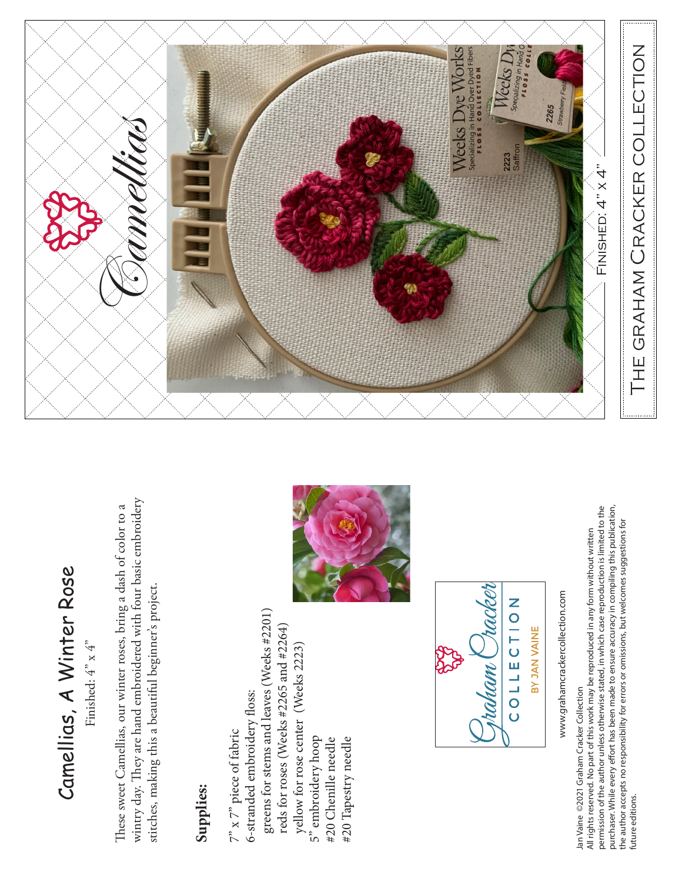## Camellias, A Winter Rose Camellias, A Winter Rose

Finished:  $4^{\circ}$  x  $4^{\circ}$ Finished:  $4" \times 4"$ 

wintry day. They are hand embroidered with four basic embroidery wintry day. They are hand embroidered with four basic embroidery These sweet Camellias, our winter roses, bring a dash of color to a These sweet Camellias, our winter roses, bring a dash of color to a stitches, making this a beautiful beginner's project. stitches, making this a beautiful beginner's project.

## **Supplies:**

greens for stems and leaves (Weeks #2201) greens for stems and leaves (Weeks #2201) reds for roses (Weeks #2265 and #2264) reds for roses (Weeks #2265 and #2264) yellow for rose center (Weeks 2223) yellow for rose center (Weeks 2223) 6-stranded embroidery floss: 6-stranded embroidery floss:  $7^{\circ}$  x  $7^{\circ}$  piece of fabric  $7"$  x  $7"$  piece of fabric 5" embroidery hoop #20 Tapestry needle 5" embroidery hoop #20 Chenille needle #20 Chenille needle #20 Tapestry needle





www.grahamcrackercollection.com www.grahamcrackercollection.com

Jan Vaine ©2021 Graham Cracker Collection Jan Vaine ©2021 Graham Cracker Collection

purchaser. While every effort has been made to ensure accuracy in compiling this publication, permission of the author unless otherwise stated, in which case reproduction is limited to the permission of the author unless otherwise stated, in which case reproduction is limited to the purchaser. While every effort has been made to ensure accuracy in compiling this publication,<br>the author accepts no responsibility for errors or omissions, but welcomes suggestions for the author accepts no responsibility for errors or omissions, but welcomes suggestions for All rights reserved. No part of this work may be reproduced in any form without written All rights reserved. No part of this work may be reproduced in any form without written future editions. future editions.